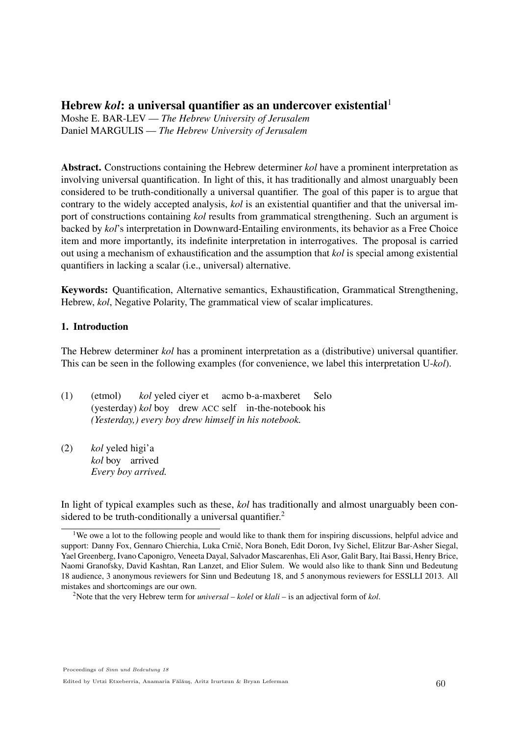# Hebrew *kol*: a universal quantifier as an undercover existential 1

Moshe E. BAR-LEV — *The Hebrew University of Jerusalem* Daniel MARGULIS — *The Hebrew University of Jerusalem*

Abstract. Constructions containing the Hebrew determiner *kol* have a prominent interpretation as involving universal quantification. In light of this, it has traditionally and almost unarguably been considered to be truth-conditionally a universal quantifier. The goal of this paper is to argue that contrary to the widely accepted analysis, *kol* is an existential quantifier and that the universal import of constructions containing *kol* results from grammatical strengthening. Such an argument is backed by *kol*'s interpretation in Downward-Entailing environments, its behavior as a Free Choice item and more importantly, its indefinite interpretation in interrogatives. The proposal is carried out using a mechanism of exhaustification and the assumption that *kol* is special among existential quantifiers in lacking a scalar (i.e., universal) alternative.

Keywords: Quantification, Alternative semantics, Exhaustification, Grammatical Strengthening, Hebrew, *kol*, Negative Polarity, The grammatical view of scalar implicatures.

# 1. Introduction

The Hebrew determiner *kol* has a prominent interpretation as a (distributive) universal quantifier. This can be seen in the following examples (for convenience, we label this interpretation U-*kol*).

- $(1)$  (etmol) (yesterday) *kol* boy drew ACC self in-the-notebook his *kol* yeled ciyer et acmo b-a-maxberet Selo *(Yesterday,) every boy drew himself in his notebook.*
- $(2)$ *kol* boy arrived yeled higi'a *Every boy arrived.*

In light of typical examples such as these, *kol* has traditionally and almost unarguably been considered to be truth-conditionally a universal quantifier.<sup>2</sup>

<sup>&</sup>lt;sup>1</sup>We owe a lot to the following people and would like to thank them for inspiring discussions, helpful advice and support: Danny Fox, Gennaro Chierchia, Luka Crnič, Nora Boneh, Edit Doron, Ivy Sichel, Elitzur Bar-Asher Siegal, Yael Greenberg, Ivano Caponigro, Veneeta Dayal, Salvador Mascarenhas, Eli Asor, Galit Bary, Itai Bassi, Henry Brice, Naomi Granofsky, David Kashtan, Ran Lanzet, and Elior Sulem. We would also like to thank Sinn und Bedeutung 18 audience, 3 anonymous reviewers for Sinn und Bedeutung 18, and 5 anonymous reviewers for ESSLLI 2013. All mistakes and shortcomings are our own.

<sup>2</sup>Note that the very Hebrew term for *universal* – *kolel* or *klali* – is an adjectival form of *kol*.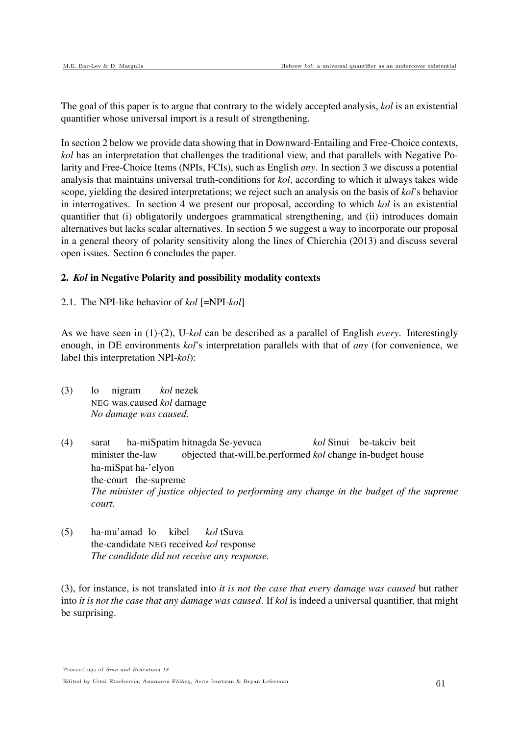The goal of this paper is to argue that contrary to the widely accepted analysis, *kol* is an existential quantifier whose universal import is a result of strengthening.

In section 2 below we provide data showing that in Downward-Entailing and Free-Choice contexts, *kol* has an interpretation that challenges the traditional view, and that parallels with Negative Polarity and Free-Choice Items (NPIs, FCIs), such as English *any*. In section 3 we discuss a potential analysis that maintains universal truth-conditions for *kol*, according to which it always takes wide scope, yielding the desired interpretations; we reject such an analysis on the basis of *kol*'s behavior in interrogatives. In section 4 we present our proposal, according to which *kol* is an existential quantifier that (i) obligatorily undergoes grammatical strengthening, and (ii) introduces domain alternatives but lacks scalar alternatives. In section 5 we suggest a way to incorporate our proposal in a general theory of polarity sensitivity along the lines of Chierchia (2013) and discuss several open issues. Section 6 concludes the paper.

## 2. *Kol* in Negative Polarity and possibility modality contexts

2.1. The NPI-like behavior of *kol* [=NPI-*kol*]

As we have seen in (1)-(2), U-*kol* can be described as a parallel of English *every*. Interestingly enough, in DE environments *kol*'s interpretation parallels with that of *any* (for convenience, we label this interpretation NPI-*kol*):

- $(3)$  lo NEG was.caused *kol* damage nigram *kol* nezek *No damage was caused.*
- (4) sarat minister the-law ha-miSpatim hitnagda Se-yevuca objected that-will.be.performed *kol* change in-budget house *kol* Sinui be-takciv beit ha-miSpat ha-'elyon the-court the-supreme *The minister of justice objected to performing any change in the budget of the supreme court.*
- (5) ha-mu'amad lo the-candidate NEG received *kol* response kibel *kol* tSuva *The candidate did not receive any response.*

(3), for instance, is not translated into *it is not the case that every damage was caused* but rather into *it is not the case that any damage was caused*. If *kol* is indeed a universal quantifier, that might be surprising.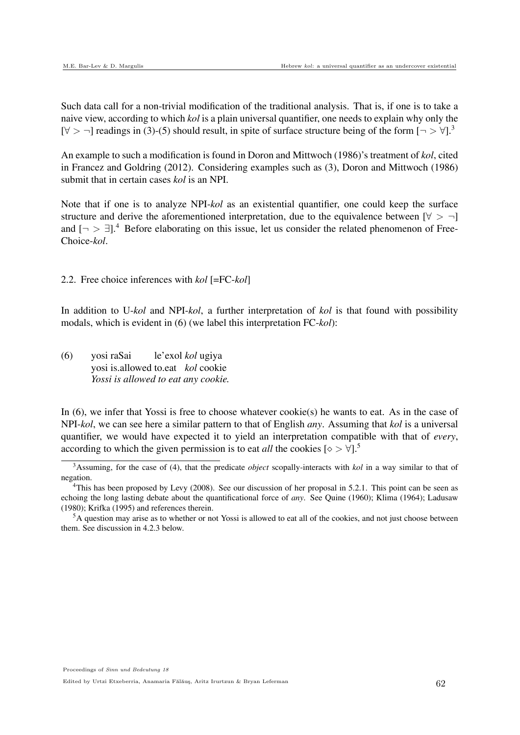Such data call for a non-trivial modification of the traditional analysis. That is, if one is to take a naive view, according to which *kol* is a plain universal quantifier, one needs to explain why only the [ $\forall$  >  $\neg$ ] readings in (3)-(5) should result, in spite of surface structure being of the form [ $\neg$   $\neg$   $\forall$ ].<sup>3</sup>

An example to such a modification is found in Doron and Mittwoch (1986)'s treatment of *kol*, cited in Francez and Goldring (2012). Considering examples such as (3), Doron and Mittwoch (1986) submit that in certain cases *kol* is an NPI.

Note that if one is to analyze NPI-*kol* as an existential quantifier, one could keep the surface structure and derive the aforementioned interpretation, due to the equivalence between  $[\forall > \neg]$ and  $\lceil \neg \rceil > \exists$ ].<sup>4</sup> Before elaborating on this issue, let us consider the related phenomenon of Free-Choice-*kol*.

2.2. Free choice inferences with *kol* [=FC-*kol*]

In addition to U-*kol* and NPI-*kol*, a further interpretation of *kol* is that found with possibility modals, which is evident in (6) (we label this interpretation FC-*kol*):

(6) yosi raSai yosi is.allowed to.eat *kol* cookie le'exol *kol* ugiya *Yossi is allowed to eat any cookie.*

In  $(6)$ , we infer that Yossi is free to choose whatever cookie $(s)$  he wants to eat. As in the case of NPI-*kol*, we can see here a similar pattern to that of English *any*. Assuming that *kol* is a universal quantifier, we would have expected it to yield an interpretation compatible with that of *every*, according to which the given permission is to eat *all* the cookies  $\lbrack \diamond > \forall \rbrack$ <sup>5</sup>

<sup>3</sup>Assuming, for the case of (4), that the predicate *object* scopally-interacts with *kol* in a way similar to that of negation.

<sup>&</sup>lt;sup>4</sup>This has been proposed by Levy (2008). See our discussion of her proposal in 5.2.1. This point can be seen as echoing the long lasting debate about the quantificational force of *any*. See Quine (1960); Klima (1964); Ladusaw (1980); Krifka (1995) and references therein.

<sup>&</sup>lt;sup>5</sup>A question may arise as to whether or not Yossi is allowed to eat all of the cookies, and not just choose between them. See discussion in 4.2.3 below.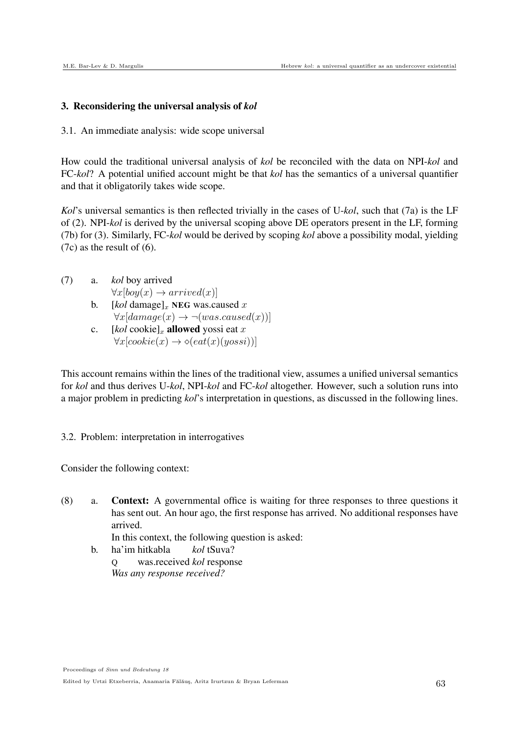#### 3. Reconsidering the universal analysis of *kol*

3.1. An immediate analysis: wide scope universal

How could the traditional universal analysis of *kol* be reconciled with the data on NPI-*kol* and FC-*kol*? A potential unified account might be that *kol* has the semantics of a universal quantifier and that it obligatorily takes wide scope.

*Kol*'s universal semantics is then reflected trivially in the cases of U-*kol*, such that (7a) is the LF of (2). NPI-*kol* is derived by the universal scoping above DE operators present in the LF, forming (7b) for (3). Similarly, FC-*kol* would be derived by scoping *kol* above a possibility modal, yielding (7c) as the result of (6).

- (7) a. *kol* boy arrived  $\forall x [boy(x) \rightarrow arrived(x)]$ 
	- b.  $[kol \text{ damage}]_x$  NEG was.caused x  $\forall x[ damage(x) \rightarrow \neg (wascaused(x))]$
	- c.  $[kol \text{ cookie}]_x$  allowed yossi eat x  $\forall x[cookie(x) \rightarrow \diamond(eat(x)(yossi))]$

This account remains within the lines of the traditional view, assumes a unified universal semantics for *kol* and thus derives U-*kol*, NPI-*kol* and FC-*kol* altogether. However, such a solution runs into a major problem in predicting *kol*'s interpretation in questions, as discussed in the following lines.

3.2. Problem: interpretation in interrogatives

Consider the following context:

(8) a. Context: A governmental office is waiting for three responses to three questions it has sent out. An hour ago, the first response has arrived. No additional responses have arrived.

In this context, the following question is asked:

b. ha'im hitkabla Q was.received *kol* response *kol* tSuva? *Was any response received?*

Proceedings of Sinn und Bedeutung 18 Edited by Urtzi Etxeberria, Anamaria Fălăuș, Aritz Irurtzun & Bryan Leferman 63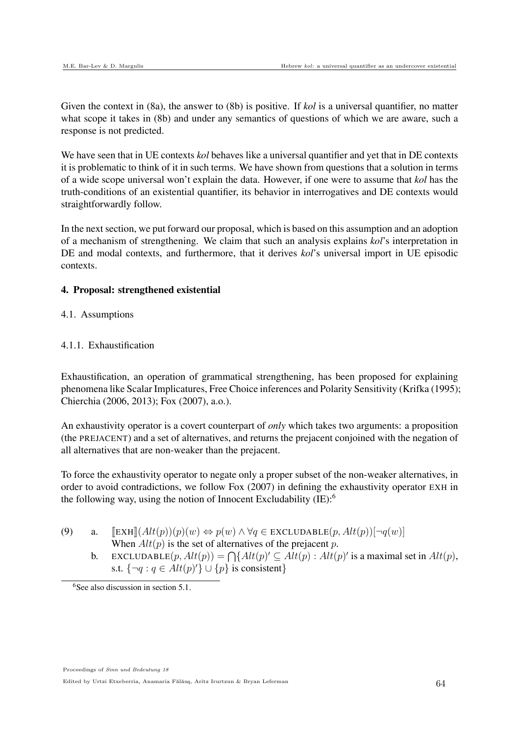Given the context in (8a), the answer to (8b) is positive. If *kol* is a universal quantifier, no matter what scope it takes in (8b) and under any semantics of questions of which we are aware, such a response is not predicted.

We have seen that in UE contexts *kol* behaves like a universal quantifier and yet that in DE contexts it is problematic to think of it in such terms. We have shown from questions that a solution in terms of a wide scope universal won't explain the data. However, if one were to assume that *kol* has the truth-conditions of an existential quantifier, its behavior in interrogatives and DE contexts would straightforwardly follow.

In the next section, we put forward our proposal, which is based on this assumption and an adoption of a mechanism of strengthening. We claim that such an analysis explains *kol*'s interpretation in DE and modal contexts, and furthermore, that it derives *kol*'s universal import in UE episodic contexts.

# 4. Proposal: strengthened existential

4.1. Assumptions

# 4.1.1. Exhaustification

Exhaustification, an operation of grammatical strengthening, has been proposed for explaining phenomena like Scalar Implicatures, Free Choice inferences and Polarity Sensitivity (Krifka (1995); Chierchia (2006, 2013); Fox (2007), a.o.).

An exhaustivity operator is a covert counterpart of *only* which takes two arguments: a proposition (the PREJACENT) and a set of alternatives, and returns the prejacent conjoined with the negation of all alternatives that are non-weaker than the prejacent.

To force the exhaustivity operator to negate only a proper subset of the non-weaker alternatives, in order to avoid contradictions, we follow Fox (2007) in defining the exhaustivity operator EXH in the following way, using the notion of Innocent Excludability (IE): 6

- (9) a.  $[\operatorname{EXH}](Alt(p))(p)(w) \Leftrightarrow p(w) \wedge \forall q \in \operatorname{EXCLUDABLE}(p, Alt(p))[\neg q(w)]$ When  $Alt(p)$  is the set of alternatives of the prejacent p.
	- b. EXCLUDABLE $(p, Alt(p)) = \bigcap \{Alt(p)' \subseteq Alt(p) : Alt(p)'$  is a maximal set in  $Alt(p)$ , s.t.  $\{\neg q : q \in Alt(p)'\} \cup \{p\}$  is consistent}

Proceedings of Sinn und Bedeutung 18

 $6$ See also discussion in section 5.1.

Edited by Urtzi Etxeberria, Anamaria Fălăuș, Aritz Irurtzun & Bryan Leferman 64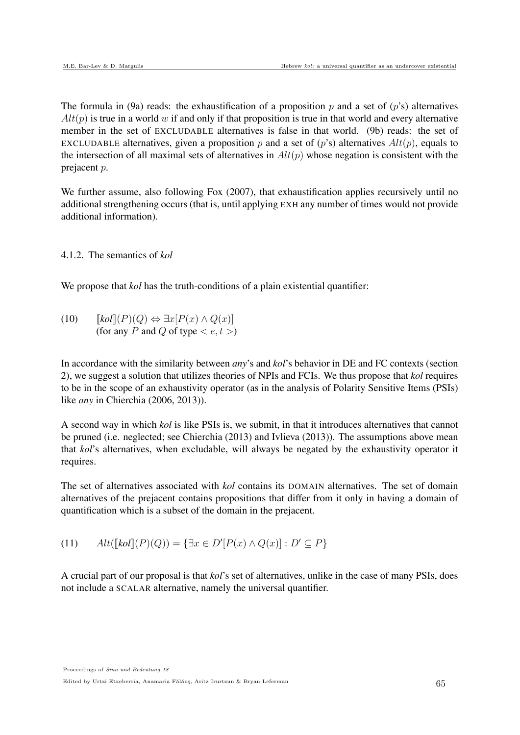The formula in (9a) reads: the exhaustification of a proposition p and a set of (p's) alternatives  $Alt(p)$  is true in a world w if and only if that proposition is true in that world and every alternative member in the set of EXCLUDABLE alternatives is false in that world. (9b) reads: the set of EXCLUDABLE alternatives, given a proposition p and a set of  $(p's)$  alternatives  $Alt(p)$ , equals to the intersection of all maximal sets of alternatives in  $Alt(p)$  whose negation is consistent with the prejacent p.

We further assume, also following Fox (2007), that exhaustification applies recursively until no additional strengthening occurs (that is, until applying EXH any number of times would not provide additional information).

4.1.2. The semantics of *kol*

We propose that *kol* has the truth-conditions of a plain existential quantifier:

(10)  $\llbracket \text{kol} \rrbracket(P)(Q) \Leftrightarrow \exists x [P(x) \land Q(x)]$ (for any P and Q of type  $\lt e, t >$ )

In accordance with the similarity between *any*'s and *kol*'s behavior in DE and FC contexts (section 2), we suggest a solution that utilizes theories of NPIs and FCIs. We thus propose that *kol* requires to be in the scope of an exhaustivity operator (as in the analysis of Polarity Sensitive Items (PSIs) like *any* in Chierchia (2006, 2013)).

A second way in which *kol* is like PSIs is, we submit, in that it introduces alternatives that cannot be pruned (i.e. neglected; see Chierchia (2013) and Ivlieva (2013)). The assumptions above mean that *kol*'s alternatives, when excludable, will always be negated by the exhaustivity operator it requires.

The set of alternatives associated with *kol* contains its DOMAIN alternatives. The set of domain alternatives of the prejacent contains propositions that differ from it only in having a domain of quantification which is a subset of the domain in the prejacent.

(11) 
$$
Alt([kol](P)(Q)) = \{ \exists x \in D'[P(x) \land Q(x)] : D' \subseteq P \}
$$

A crucial part of our proposal is that *kol*'s set of alternatives, unlike in the case of many PSIs, does not include a SCALAR alternative, namely the universal quantifier.

Proceedings of Sinn und Bedeutung 18

Edited by Urtzi Etxeberria, Anamaria Fălăuş, Aritz Irurtzun & Bryan Leferman 65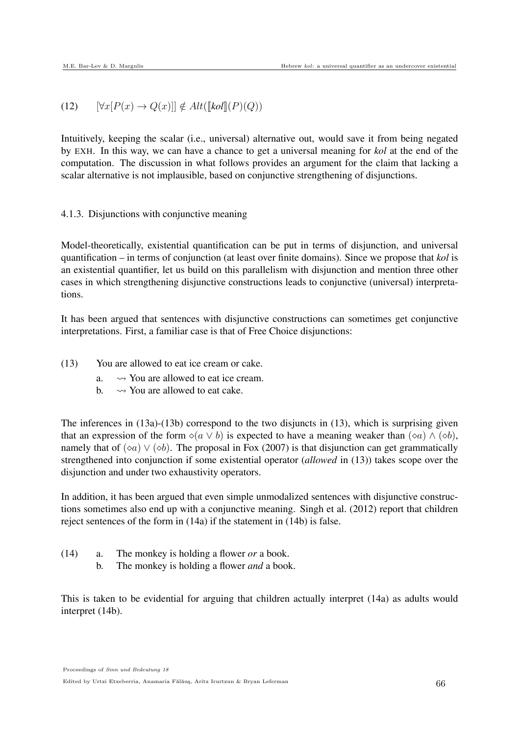(12) 
$$
[\forall x [P(x) \to Q(x)]] \notin Alt([\mathit{kol}](P)(Q))
$$

Intuitively, keeping the scalar (i.e., universal) alternative out, would save it from being negated by EXH. In this way, we can have a chance to get a universal meaning for *kol* at the end of the computation. The discussion in what follows provides an argument for the claim that lacking a scalar alternative is not implausible, based on conjunctive strengthening of disjunctions.

# 4.1.3. Disjunctions with conjunctive meaning

Model-theoretically, existential quantification can be put in terms of disjunction, and universal quantification – in terms of conjunction (at least over finite domains). Since we propose that *kol* is an existential quantifier, let us build on this parallelism with disjunction and mention three other cases in which strengthening disjunctive constructions leads to conjunctive (universal) interpretations.

It has been argued that sentences with disjunctive constructions can sometimes get conjunctive interpretations. First, a familiar case is that of Free Choice disjunctions:

- (13) You are allowed to eat ice cream or cake.
	- a.  $\rightarrow$  You are allowed to eat ice cream.
	- b.  $\rightarrow$  You are allowed to eat cake.

The inferences in (13a)-(13b) correspond to the two disjuncts in (13), which is surprising given that an expression of the form  $\Diamond(a \lor b)$  is expected to have a meaning weaker than  $(\Diamond a) \land (\Diamond b)$ , namely that of  $(\infty a) \vee (\infty b)$ . The proposal in Fox (2007) is that disjunction can get grammatically strengthened into conjunction if some existential operator (*allowed* in (13)) takes scope over the disjunction and under two exhaustivity operators.

In addition, it has been argued that even simple unmodalized sentences with disjunctive constructions sometimes also end up with a conjunctive meaning. Singh et al. (2012) report that children reject sentences of the form in (14a) if the statement in (14b) is false.

- (14) a. The monkey is holding a flower *or* a book.
	- b. The monkey is holding a flower *and* a book.

This is taken to be evidential for arguing that children actually interpret (14a) as adults would interpret (14b).

Edited by Urtzi Etxeberria, Anamaria Fălăuș, Aritz Irurtzun & Bryan Leferman 666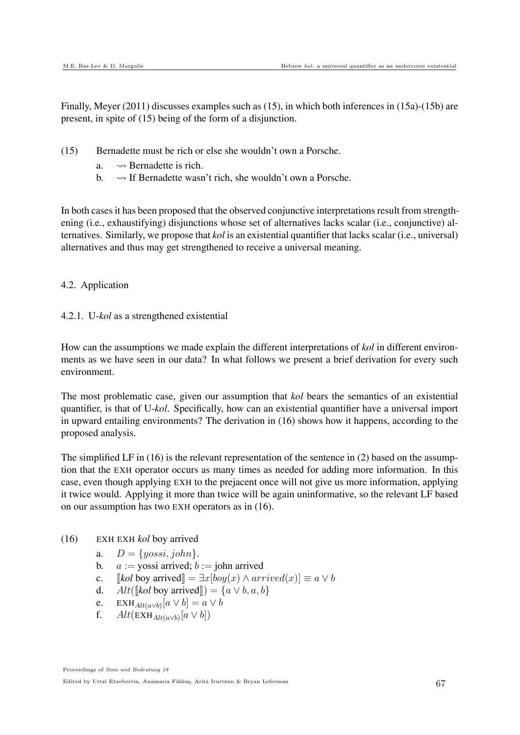Finally, Meyer (2011) discusses examples such as (15), in which both inferences in (15a)-(15b) are present, in spite of (15) being of the form of a disjunction.

- (15) Bernadette must be rich or else she wouldn't own a Porsche.
	- a.  $\rightarrow$  Bernadette is rich.
	- b.  $\rightarrow$  If Bernadette wasn't rich, she wouldn't own a Porsche.

In both casesit has been proposed that the observed conjunctive interpretations result from strengthening (i.e., exhaustifying) disjunctions whose set of alternatives lacks scalar (i.e., conjunctive) alternatives. Similarly, we propose that *kol* is an existential quantifier that lacks scalar (i.e., universal) alternatives and thus may get strengthened to receive a universal meaning.

#### 4.2. Application

4.2.1. U-*kol* as a strengthened existential

How can the assumptions we made explain the different interpretations of *kol* in different environments as we have seen in our data? In what follows we present a brief derivation for every such environment.

The most problematic case, given our assumption that *kol* bears the semantics of an existential quantifier, is that of U-*kol*. Specifically, how can an existential quantifier have a universal import in upward entailing environments? The derivation in (16) shows how it happens, according to the proposed analysis.

The simplified LF in  $(16)$  is the relevant representation of the sentence in  $(2)$  based on the assumption that the EXH operator occurs as many times as needed for adding more information. In this case, even though applying EXH to the prejacent once will not give us more information, applying it twice would. Applying it more than twice will be again uninformative, so the relevant LF based on our assumption has two EXH operators as in (16).

- (16) EXH EXH *kol* boy arrived
	- a.  $D = \{yossi, john\}.$
	- b.  $a := y$ ossi arrived;  $b := j$ ohn arrived
	- c.  $\llbracket \text{kol boy arrived} \rrbracket = \exists x [boy(x) \land arrived(x)] \equiv a \lor b$
	- d. Alt( $\llbracket kol$  boy arrived $\rrbracket$ ) =  $\{a \lor b, a, b\}$
	- e. EXH<sub>Alt(a</sub> $\vee$ b)<sup>[a</sup> ∨ b] = a ∨ b
	- f.  $Alt(EXH_{Alt(a \vee b)}[a \vee b])$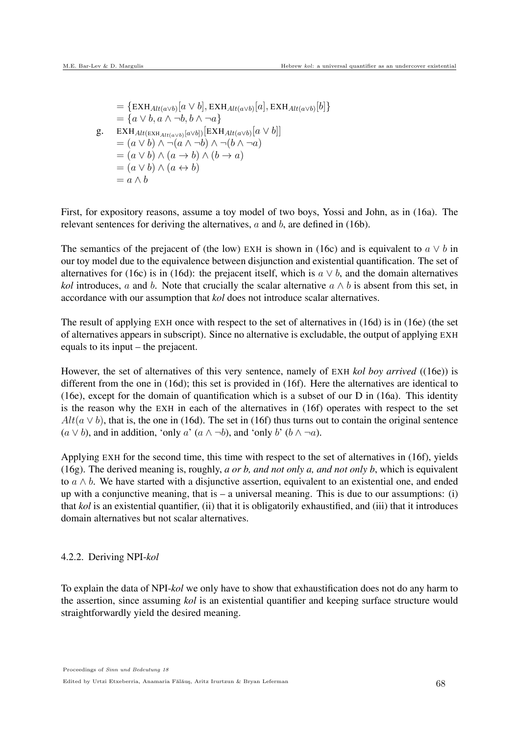$=\{E X H_{Alt(a \vee b)}[a \vee b], E X H_{Alt(a \vee b)}[a], E X H_{Alt(a \vee b)}[b]\}$  $=\{a \vee b, a \wedge \neg b, b \wedge \neg a\}$ g. EXH<sub>Alt(EXH<sub>Alt(a∨b)</sub>[a∨b])[EXH<sub>Alt(a∨b)</sub>[a ∨ b]]</sub>  $=(a \vee b) \wedge \neg(a \wedge \neg b) \wedge \neg(b \wedge \neg a)$  $=(a \vee b) \wedge (a \rightarrow b) \wedge (b \rightarrow a)$  $=(a \vee b) \wedge (a \leftrightarrow b)$  $= a \wedge b$ 

First, for expository reasons, assume a toy model of two boys, Yossi and John, as in (16a). The relevant sentences for deriving the alternatives,  $a$  and  $b$ , are defined in (16b).

The semantics of the prejacent of (the low) EXH is shown in (16c) and is equivalent to  $a \vee b$  in our toy model due to the equivalence between disjunction and existential quantification. The set of alternatives for (16c) is in (16d): the prejacent itself, which is  $a \vee b$ , and the domain alternatives *kol* introduces, a and b. Note that crucially the scalar alternative  $a \wedge b$  is absent from this set, in accordance with our assumption that *kol* does not introduce scalar alternatives.

The result of applying EXH once with respect to the set of alternatives in (16d) is in (16e) (the set of alternatives appears in subscript). Since no alternative is excludable, the output of applying EXH equals to its input – the prejacent.

However, the set of alternatives of this very sentence, namely of EXH *kol boy arrived* ((16e)) is different from the one in (16d); this set is provided in (16f). Here the alternatives are identical to (16e), except for the domain of quantification which is a subset of our D in (16a). This identity is the reason why the EXH in each of the alternatives in (16f) operates with respect to the set  $Alt(a \vee b)$ , that is, the one in (16d). The set in (16f) thus turns out to contain the original sentence  $(a \vee b)$ , and in addition, 'only a'  $(a \wedge \neg b)$ , and 'only b'  $(b \wedge \neg a)$ .

Applying EXH for the second time, this time with respect to the set of alternatives in (16f), yields (16g). The derived meaning is, roughly, *a or b, and not only a, and not only b*, which is equivalent to  $a \wedge b$ . We have started with a disjunctive assertion, equivalent to an existential one, and ended up with a conjunctive meaning, that is  $-$  a universal meaning. This is due to our assumptions: (i) that *kol* is an existential quantifier, (ii) that it is obligatorily exhaustified, and (iii) that it introduces domain alternatives but not scalar alternatives.

## 4.2.2. Deriving NPI-*kol*

To explain the data of NPI-*kol* we only have to show that exhaustification does not do any harm to the assertion, since assuming *kol* is an existential quantifier and keeping surface structure would straightforwardly yield the desired meaning.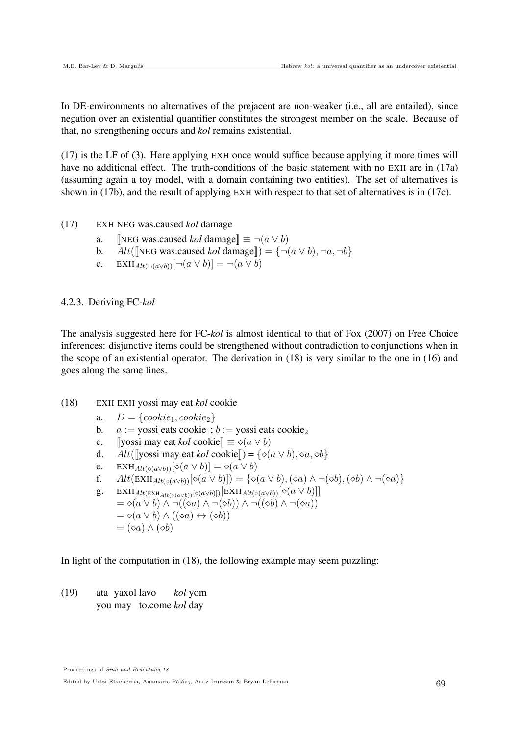In DE-environments no alternatives of the prejacent are non-weaker (i.e., all are entailed), since negation over an existential quantifier constitutes the strongest member on the scale. Because of that, no strengthening occurs and *kol* remains existential.

(17) is the LF of (3). Here applying EXH once would suffice because applying it more times will have no additional effect. The truth-conditions of the basic statement with no EXH are in (17a) (assuming again a toy model, with a domain containing two entities). The set of alternatives is shown in (17b), and the result of applying EXH with respect to that set of alternatives is in (17c).

- (17) EXH NEG was.caused *kol* damage
	- a. **INEG was.caused** *kol* damage $\equiv \neg(a \lor b)$
	- b. Alt( $[\text{NEG was.caused } kol \text{ damage}]] = {\neg(a \lor b), \neg a, \neg b}$
	- c. EXH $_{Alt(\neg(a \lor b))}[\neg(a \lor b)] = \neg(a \lor b)$

#### 4.2.3. Deriving FC-*kol*

The analysis suggested here for FC-*kol* is almost identical to that of Fox (2007) on Free Choice inferences: disjunctive items could be strengthened without contradiction to conjunctions when in the scope of an existential operator. The derivation in (18) is very similar to the one in (16) and goes along the same lines.

- (18) EXH EXH yossi may eat *kol* cookie
	- a.  $D = \{cookie_1, cookie_2\}$
	- b.  $a := \text{yossi} \cdot \text{eats} \cdot \text{coskie}_1; b := \text{yossi} \cdot \text{eats} \cdot \text{coskie}_2$
	- c. **I**yossi may eat *kol* cookie $\mathbb{R} \equiv \diamond (a \vee b)$
	- d. Alt( $[\text{yossi may eat } kol \text{ cookie}]$ ) = { $\diamond (a \vee b), \diamond a, \diamond b$ }
	- e. EXH<sub>Alt(</sub>∘(a $\vee$ b))[ $\diamond$ (a  $\vee$  b)] =  $\diamond$ (a  $\vee$  b)
	- f.  $Alt(EXH_{Alt(\circ(a \lor b))}[\circ(a \lor b)]) = {\circ(a \lor b), (\circ a) \land \neg(\circ b), (\circ b) \land \neg(\circ a)}$
	- g. EXH $_{Alt(\infty(a \vee b))}[\diamond (a \vee b)]$  [EXH $_{Alt(\diamond (a \vee b))}[\diamond (a \vee b)]$ ]  $=\diamond(a \vee b) \wedge \neg((\diamond a) \wedge \neg(\diamond b)) \wedge \neg((\diamond b) \wedge \neg(\diamond a))$  $=\diamond(a \vee b) \wedge ((\diamond a) \leftrightarrow (\diamond b))$  $=(\diamond a)\wedge(\diamond b)$

In light of the computation in (18), the following example may seem puzzling:

 $(19)$ you may to.come *kol* day yaxol lavo *kol* yom

Proceedings of Sinn und Bedeutung 18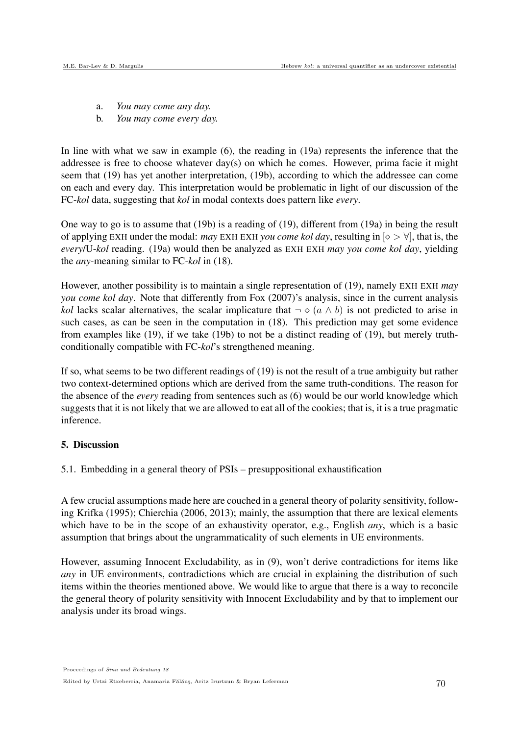- a. *You may come any day.*
- b. *You may come every day.*

In line with what we saw in example (6), the reading in (19a) represents the inference that the addressee is free to choose whatever day(s) on which he comes. However, prima facie it might seem that (19) has yet another interpretation, (19b), according to which the addressee can come on each and every day. This interpretation would be problematic in light of our discussion of the FC-*kol* data, suggesting that *kol* in modal contexts does pattern like *every*.

One way to go is to assume that (19b) is a reading of (19), different from (19a) in being the result of applying EXH under the modal: *may* EXH EXH *you come kol day*, resulting in  $\infty > \forall$ , that is, the *every*/U-*kol* reading. (19a) would then be analyzed as EXH EXH *may you come kol day*, yielding the *any*-meaning similar to FC-*kol* in (18).

However, another possibility is to maintain a single representation of (19), namely EXH EXH *may you come kol day*. Note that differently from Fox (2007)'s analysis, since in the current analysis *kol* lacks scalar alternatives, the scalar implicature that  $\neg \diamond (a \land b)$  is not predicted to arise in such cases, as can be seen in the computation in (18). This prediction may get some evidence from examples like (19), if we take (19b) to not be a distinct reading of (19), but merely truthconditionally compatible with FC-*kol*'s strengthened meaning.

If so, what seems to be two different readings of (19) is not the result of a true ambiguity but rather two context-determined options which are derived from the same truth-conditions. The reason for the absence of the *every* reading from sentences such as (6) would be our world knowledge which suggests that it is not likely that we are allowed to eat all of the cookies; that is, it is a true pragmatic inference.

# 5. Discussion

5.1. Embedding in a general theory of PSIs – presuppositional exhaustification

A few crucial assumptions made here are couched in a general theory of polarity sensitivity, following Krifka (1995); Chierchia (2006, 2013); mainly, the assumption that there are lexical elements which have to be in the scope of an exhaustivity operator, e.g., English *any*, which is a basic assumption that brings about the ungrammaticality of such elements in UE environments.

However, assuming Innocent Excludability, as in (9), won't derive contradictions for items like *any* in UE environments, contradictions which are crucial in explaining the distribution of such items within the theories mentioned above. We would like to argue that there is a way to reconcile the general theory of polarity sensitivity with Innocent Excludability and by that to implement our analysis under its broad wings.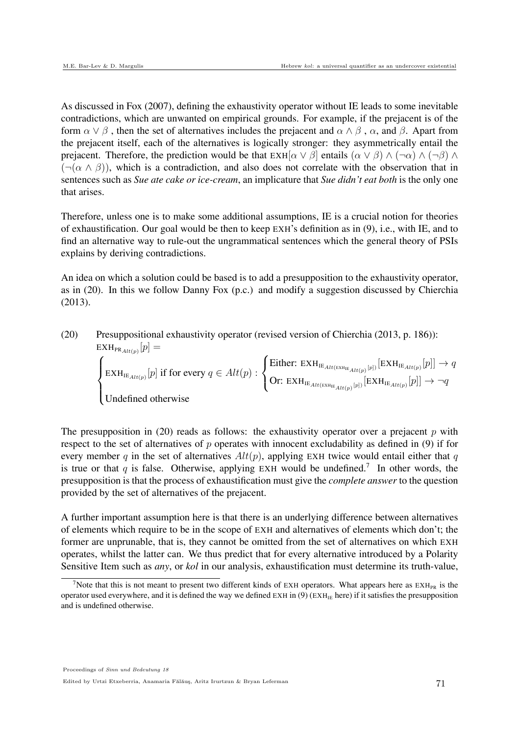As discussed in Fox (2007), defining the exhaustivity operator without IE leads to some inevitable contradictions, which are unwanted on empirical grounds. For example, if the prejacent is of the form  $\alpha \vee \beta$ , then the set of alternatives includes the prejacent and  $\alpha \wedge \beta$ ,  $\alpha$ , and  $\beta$ . Apart from the prejacent itself, each of the alternatives is logically stronger: they asymmetrically entail the prejacent. Therefore, the prediction would be that  $EXH[\alpha \vee \beta]$  entails  $(\alpha \vee \beta) \wedge (\neg \alpha) \wedge (\neg \beta) \wedge (\neg \beta)$  $(\neg(\alpha \land \beta))$ , which is a contradiction, and also does not correlate with the observation that in sentences such as *Sue ate cake or ice-cream*, an implicature that *Sue didn't eat both* is the only one that arises.

Therefore, unless one is to make some additional assumptions, IE is a crucial notion for theories of exhaustification. Our goal would be then to keep EXH's definition as in (9), i.e., with IE, and to find an alternative way to rule-out the ungrammatical sentences which the general theory of PSIs explains by deriving contradictions.

An idea on which a solution could be based is to add a presupposition to the exhaustivity operator, as in (20). In this we follow Danny Fox (p.c.) and modify a suggestion discussed by Chierchia (2013).

(20) Presuppositional exhaustivity operator (revised version of Chierchia (2013, p. 186)): 
$$
\text{EXH}_{\text{PR}_{Alt(p)}}[p] = \begin{cases} \text{Ext}_{\text{IR}_{Alt(p)}}[p] \text{ if for every } q \in Alt(p) : \begin{cases} \text{Either: } \text{EXH}_{\text{IR}_{Alt}(\text{exH}_{\text{IR}_{Alt}(p)}[p])}[\text{EXH}_{\text{IR}_{Alt}(p)}[p]] \rightarrow q \\ \text{Or: } \text{EXH}_{\text{IR}_{Alt}(\text{exH}_{\text{IR}_{Alt}(p)}[p])}[\text{EXH}_{\text{IR}_{Alt}(p)}[p]] \rightarrow \neg q \end{cases} \end{cases}
$$

The presupposition in (20) reads as follows: the exhaustivity operator over a prejacent  $p$  with respect to the set of alternatives of  $p$  operates with innocent excludability as defined in (9) if for every member q in the set of alternatives  $Alt(p)$ , applying EXH twice would entail either that q is true or that q is false. Otherwise, applying EXH would be undefined.<sup>7</sup> In other words, the presupposition is that the process of exhaustification must give the *complete answer* to the question provided by the set of alternatives of the prejacent.

A further important assumption here is that there is an underlying difference between alternatives of elements which require to be in the scope of EXH and alternatives of elements which don't; the former are unprunable, that is, they cannot be omitted from the set of alternatives on which EXH operates, whilst the latter can. We thus predict that for every alternative introduced by a Polarity Sensitive Item such as *any*, or *kol* in our analysis, exhaustification must determine its truth-value,

<sup>&</sup>lt;sup>7</sup>Note that this is not meant to present two different kinds of EXH operators. What appears here as  $EXH_{PR}$  is the operator used everywhere, and it is defined the way we defined  $EXH$  in (9)  $(EXH<sub>IE</sub> here)$  if it satisfies the presupposition and is undefined otherwise.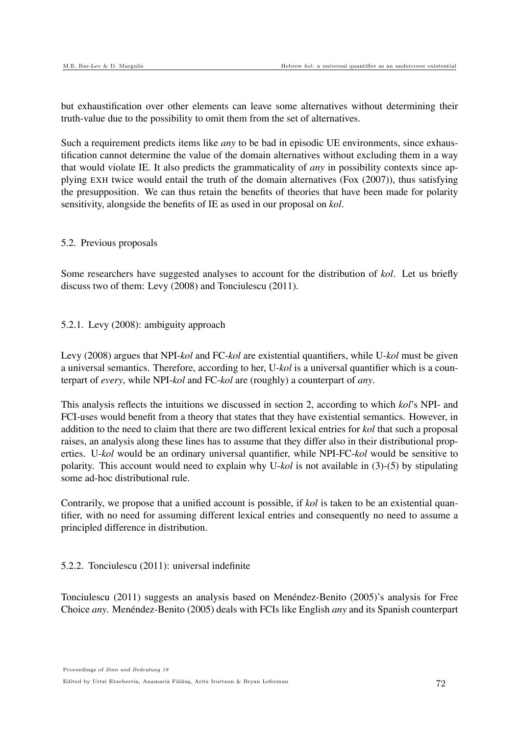but exhaustification over other elements can leave some alternatives without determining their truth-value due to the possibility to omit them from the set of alternatives.

Such a requirement predicts items like *any* to be bad in episodic UE environments, since exhaustification cannot determine the value of the domain alternatives without excluding them in a way that would violate IE. It also predicts the grammaticality of *any* in possibility contexts since applying EXH twice would entail the truth of the domain alternatives (Fox (2007)), thus satisfying the presupposition. We can thus retain the benefits of theories that have been made for polarity sensitivity, alongside the benefits of IE as used in our proposal on *kol*.

## 5.2. Previous proposals

Some researchers have suggested analyses to account for the distribution of *kol*. Let us briefly discuss two of them: Levy (2008) and Tonciulescu (2011).

## 5.2.1. Levy (2008): ambiguity approach

Levy (2008) argues that NPI-*kol* and FC-*kol* are existential quantifiers, while U-*kol* must be given a universal semantics. Therefore, according to her, U-*kol* is a universal quantifier which is a counterpart of *every*, while NPI-*kol* and FC-*kol* are (roughly) a counterpart of *any*.

This analysis reflects the intuitions we discussed in section 2, according to which *kol*'s NPI- and FCI-uses would benefit from a theory that states that they have existential semantics. However, in addition to the need to claim that there are two different lexical entries for *kol* that such a proposal raises, an analysis along these lines has to assume that they differ also in their distributional properties. U-*kol* would be an ordinary universal quantifier, while NPI-FC-*kol* would be sensitive to polarity. This account would need to explain why U-*kol* is not available in (3)-(5) by stipulating some ad-hoc distributional rule.

Contrarily, we propose that a unified account is possible, if *kol* is taken to be an existential quantifier, with no need for assuming different lexical entries and consequently no need to assume a principled difference in distribution.

## 5.2.2. Tonciulescu (2011): universal indefinite

Tonciulescu (2011) suggests an analysis based on Menéndez-Benito (2005)'s analysis for Free Choice *any*. Menéndez-Benito (2005) deals with FCIs like English *any* and its Spanish counterpart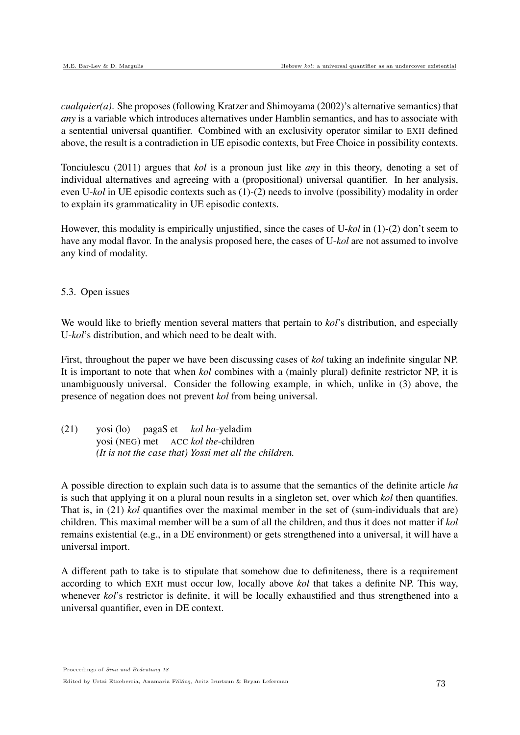*cualquier(a)*. She proposes (following Kratzer and Shimoyama (2002)'s alternative semantics) that *any* is a variable which introduces alternatives under Hamblin semantics, and has to associate with a sentential universal quantifier. Combined with an exclusivity operator similar to EXH defined above, the result is a contradiction in UE episodic contexts, but Free Choice in possibility contexts.

Tonciulescu (2011) argues that *kol* is a pronoun just like *any* in this theory, denoting a set of individual alternatives and agreeing with a (propositional) universal quantifier. In her analysis, even U-*kol* in UE episodic contexts such as (1)-(2) needs to involve (possibility) modality in order to explain its grammaticality in UE episodic contexts.

However, this modality is empirically unjustified, since the cases of U-*kol* in (1)-(2) don't seem to have any modal flavor. In the analysis proposed here, the cases of U-*kol* are not assumed to involve any kind of modality.

5.3. Open issues

We would like to briefly mention several matters that pertain to *kol*'s distribution, and especially U-*kol*'s distribution, and which need to be dealt with.

First, throughout the paper we have been discussing cases of *kol* taking an indefinite singular NP. It is important to note that when *kol* combines with a (mainly plural) definite restrictor NP, it is unambiguously universal. Consider the following example, in which, unlike in (3) above, the presence of negation does not prevent *kol* from being universal.

(21) yosi (lo) yosi (NEG) met ACC *kol the*-children pagaS et *kol ha*-yeladim *(It is not the case that) Yossi met all the children.*

A possible direction to explain such data is to assume that the semantics of the definite article *ha* is such that applying it on a plural noun results in a singleton set, over which *kol* then quantifies. That is, in (21) *kol* quantifies over the maximal member in the set of (sum-individuals that are) children. This maximal member will be a sum of all the children, and thus it does not matter if *kol* remains existential (e.g., in a DE environment) or gets strengthened into a universal, it will have a universal import.

A different path to take is to stipulate that somehow due to definiteness, there is a requirement according to which EXH must occur low, locally above *kol* that takes a definite NP. This way, whenever *kol*'s restrictor is definite, it will be locally exhaustified and thus strengthened into a universal quantifier, even in DE context.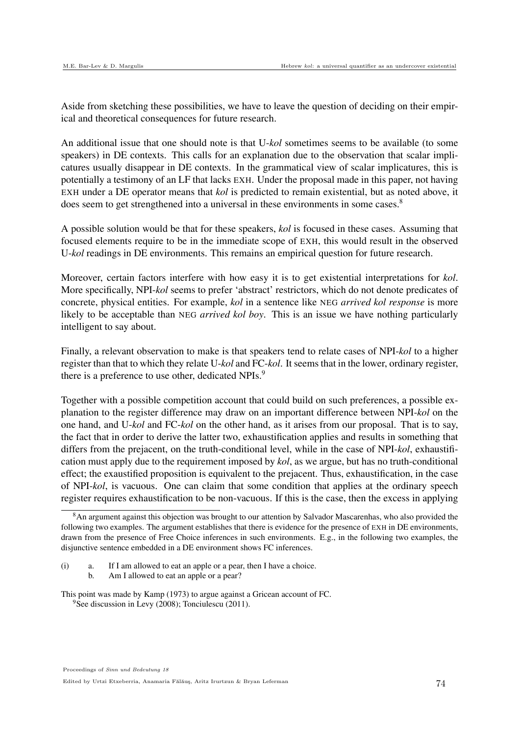Aside from sketching these possibilities, we have to leave the question of deciding on their empirical and theoretical consequences for future research.

An additional issue that one should note is that U-*kol* sometimes seems to be available (to some speakers) in DE contexts. This calls for an explanation due to the observation that scalar implicatures usually disappear in DE contexts. In the grammatical view of scalar implicatures, this is potentially a testimony of an LF that lacks EXH. Under the proposal made in this paper, not having EXH under a DE operator means that *kol* is predicted to remain existential, but as noted above, it does seem to get strengthened into a universal in these environments in some cases.<sup>8</sup>

A possible solution would be that for these speakers, *kol* is focused in these cases. Assuming that focused elements require to be in the immediate scope of EXH, this would result in the observed U-*kol* readings in DE environments. This remains an empirical question for future research.

Moreover, certain factors interfere with how easy it is to get existential interpretations for *kol*. More specifically, NPI-*kol* seems to prefer 'abstract' restrictors, which do not denote predicates of concrete, physical entities. For example, *kol* in a sentence like NEG *arrived kol response* is more likely to be acceptable than NEG *arrived kol boy*. This is an issue we have nothing particularly intelligent to say about.

Finally, a relevant observation to make is that speakers tend to relate cases of NPI-*kol* to a higher register than that to which they relate U-*kol* and FC-*kol*. It seems that in the lower, ordinary register, there is a preference to use other, dedicated NPIs.<sup>9</sup>

Together with a possible competition account that could build on such preferences, a possible explanation to the register difference may draw on an important difference between NPI-*kol* on the one hand, and U-*kol* and FC-*kol* on the other hand, as it arises from our proposal. That is to say, the fact that in order to derive the latter two, exhaustification applies and results in something that differs from the prejacent, on the truth-conditional level, while in the case of NPI-*kol*, exhaustification must apply due to the requirement imposed by *kol*, as we argue, but has no truth-conditional effect; the exaustified proposition is equivalent to the prejacent. Thus, exhaustification, in the case of NPI-*kol*, is vacuous. One can claim that some condition that applies at the ordinary speech register requires exhaustification to be non-vacuous. If this is the case, then the excess in applying

 ${}^{8}$ An argument against this objection was brought to our attention by Salvador Mascarenhas, who also provided the following two examples. The argument establishes that there is evidence for the presence of EXH in DE environments, drawn from the presence of Free Choice inferences in such environments. E.g., in the following two examples, the disjunctive sentence embedded in a DE environment shows FC inferences.

<sup>(</sup>i) a. If I am allowed to eat an apple or a pear, then I have a choice. b. Am I allowed to eat an apple or a pear?

This point was made by Kamp (1973) to argue against a Gricean account of FC. <sup>9</sup>See discussion in Levy (2008); Tonciulescu (2011).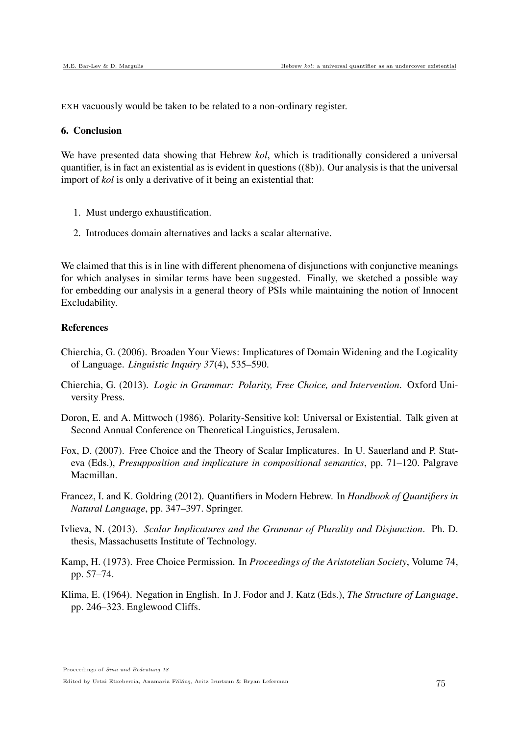EXH vacuously would be taken to be related to a non-ordinary register.

#### 6. Conclusion

We have presented data showing that Hebrew *kol*, which is traditionally considered a universal quantifier, is in fact an existential as is evident in questions ((8b)). Our analysis is that the universal import of *kol* is only a derivative of it being an existential that:

- 1. Must undergo exhaustification.
- 2. Introduces domain alternatives and lacks a scalar alternative.

We claimed that this is in line with different phenomena of disjunctions with conjunctive meanings for which analyses in similar terms have been suggested. Finally, we sketched a possible way for embedding our analysis in a general theory of PSIs while maintaining the notion of Innocent Excludability.

#### References

- Chierchia, G. (2006). Broaden Your Views: Implicatures of Domain Widening and the Logicality of Language. *Linguistic Inquiry 37*(4), 535–590.
- Chierchia, G. (2013). *Logic in Grammar: Polarity, Free Choice, and Intervention*. Oxford University Press.
- Doron, E. and A. Mittwoch (1986). Polarity-Sensitive kol: Universal or Existential. Talk given at Second Annual Conference on Theoretical Linguistics, Jerusalem.
- Fox, D. (2007). Free Choice and the Theory of Scalar Implicatures. In U. Sauerland and P. Stateva (Eds.), *Presupposition and implicature in compositional semantics*, pp. 71–120. Palgrave Macmillan.
- Francez, I. and K. Goldring (2012). Quantifiers in Modern Hebrew. In *Handbook of Quantifiers in Natural Language*, pp. 347–397. Springer.
- Ivlieva, N. (2013). *Scalar Implicatures and the Grammar of Plurality and Disjunction*. Ph. D. thesis, Massachusetts Institute of Technology.
- Kamp, H. (1973). Free Choice Permission. In *Proceedings of the Aristotelian Society*, Volume 74, pp. 57–74.
- Klima, E. (1964). Negation in English. In J. Fodor and J. Katz (Eds.), *The Structure of Language*, pp. 246–323. Englewood Cliffs.